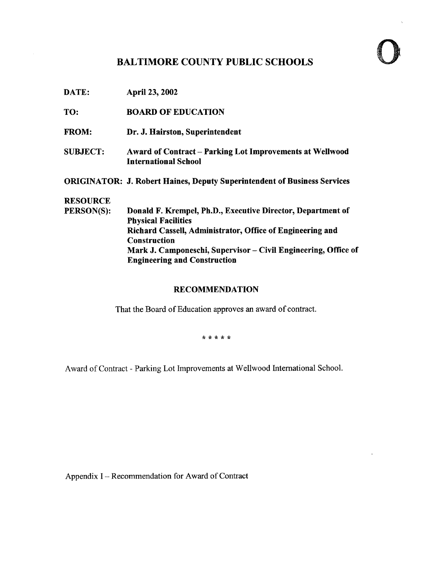# BALTIMORE COUNTY PUBLIC SCHOOLS

- **DATE: April 23, 2002**
- TO: BOARD OF EDUCATION
- FROM: Dr. J. Hairston, Superintendent
- SUBJECT: Award of Contract- Parking Lot Improvements at Wellwood International School
- ORIGINATOR: J. Robert Haines, Deputy Superintendent of Business Services

# **RESOURCE**<br>PERSON(S):

Donald F. Krempel, Ph.D., Executive Director, Department of Physical Facilities Richard Cassell, Administrator, Office of Engineering and **Construction** Mark J. Camponeschi, Supervisor – Civil Engineering, Office of Engineering and Construction

#### RECOMMENDATION

That the Board of Education approves an award of contract.

\* \* \* \* \*

Award of Contract - Parking Lot Improvements at Wellwood International School.

Appendix <sup>I</sup> - Recommendation for Award of Contract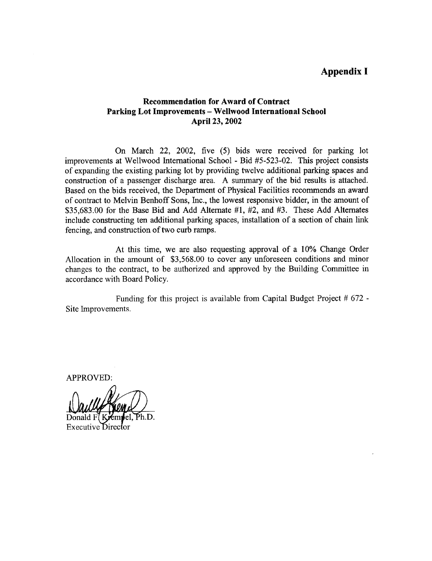## Appendix I

#### Recommendation for Award of Contract Parking Lot Improvements - Wellwood International School April 23, 2002

On March 22, 2002, five (5) bids were received for parking lot improvements at Wellwood International School - Bid #5-523-02 . This project consists of expanding the existing parking lot by providing twelve additional parking spaces and construction of <sup>a</sup> passenger discharge area. A summary of the bid results is attached. Based on the bids received, the Department of Physical Facilities recommends an award of contract to Melvin Benhoff Sons, Inc., the lowest responsive bidder, in the amount of \$35,683 .00 for the Base Bid and Add Alternate #1, #2, and #3. These Add Alternates include constructing ten additional parking spaces, installation of <sup>a</sup> section of chain link fencing, and construction of two curb ramps.

At this time, we are also requesting approval of a 10% Change Order Allocation in the amount of \$3,568.00 to cover any unforeseen conditions and minor changes to the contract, to be authorized and approved by the Building Committee in accordance with Board Policy.

Funding for this project is available from Capital Budget Project # 672 - Site Improvements .

APPROVED:

Ph.D.

Executive Director